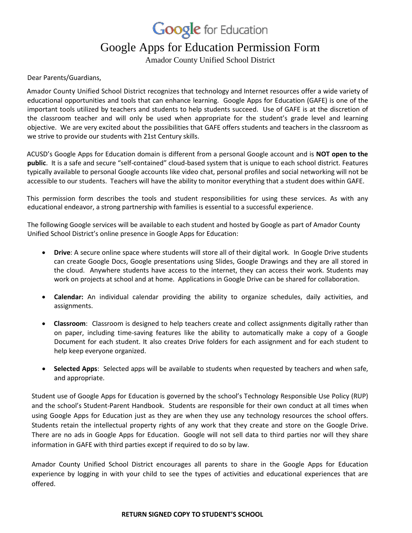**Google** for Education

## Google Apps for Education Permission Form

Amador County Unified School District

Dear Parents/Guardians,

Amador County Unified School District recognizes that technology and Internet resources offer a wide variety of educational opportunities and tools that can enhance learning. Google Apps for Education (GAFE) is one of the important tools utilized by teachers and students to help students succeed. Use of GAFE is at the discretion of the classroom teacher and will only be used when appropriate for the student's grade level and learning objective. We are very excited about the possibilities that GAFE offers students and teachers in the classroom as we strive to provide our students with 21st Century skills.

ACUSD's Google Apps for Education domain is different from a personal Google account and is **NOT open to the public**. It is a safe and secure "self-contained" cloud-based system that is unique to each school district. Features typically available to personal Google accounts like video chat, personal profiles and social networking will not be accessible to our students. Teachers will have the ability to monitor everything that a student does within GAFE.

This permission form describes the tools and student responsibilities for using these services. As with any educational endeavor, a strong partnership with families is essential to a successful experience.

The following Google services will be available to each student and hosted by Google as part of Amador County Unified School District's online presence in Google Apps for Education:

- **Drive**: A secure online space where students will store all of their digital work. In Google Drive students can create Google Docs, Google presentations using Slides, Google Drawings and they are all stored in the cloud. Anywhere students have access to the internet, they can access their work. Students may work on projects at school and at home. Applications in Google Drive can be shared for collaboration.
- **Calendar:** An individual calendar providing the ability to organize schedules, daily activities, and assignments.
- **Classroom**: Classroom is designed to help teachers create and collect assignments digitally rather than on paper, including time-saving features like the ability to automatically make a copy of a Google Document for each student. It also creates Drive folders for each assignment and for each student to help keep everyone organized.
- **Selected Apps**: Selected apps will be available to students when requested by teachers and when safe, and appropriate.

Student use of Google Apps for Education is governed by the school's Technology Responsible Use Policy (RUP) and the school's Student-Parent Handbook. Students are responsible for their own conduct at all times when using Google Apps for Education just as they are when they use any technology resources the school offers. Students retain the intellectual property rights of any work that they create and store on the Google Drive. There are no ads in Google Apps for Education. Google will not sell data to third parties nor will they share information in GAFE with third parties except if required to do so by law.

Amador County Unified School District encourages all parents to share in the Google Apps for Education experience by logging in with your child to see the types of activities and educational experiences that are offered.

## **RETURN SIGNED COPY TO STUDENT'S SCHOOL**